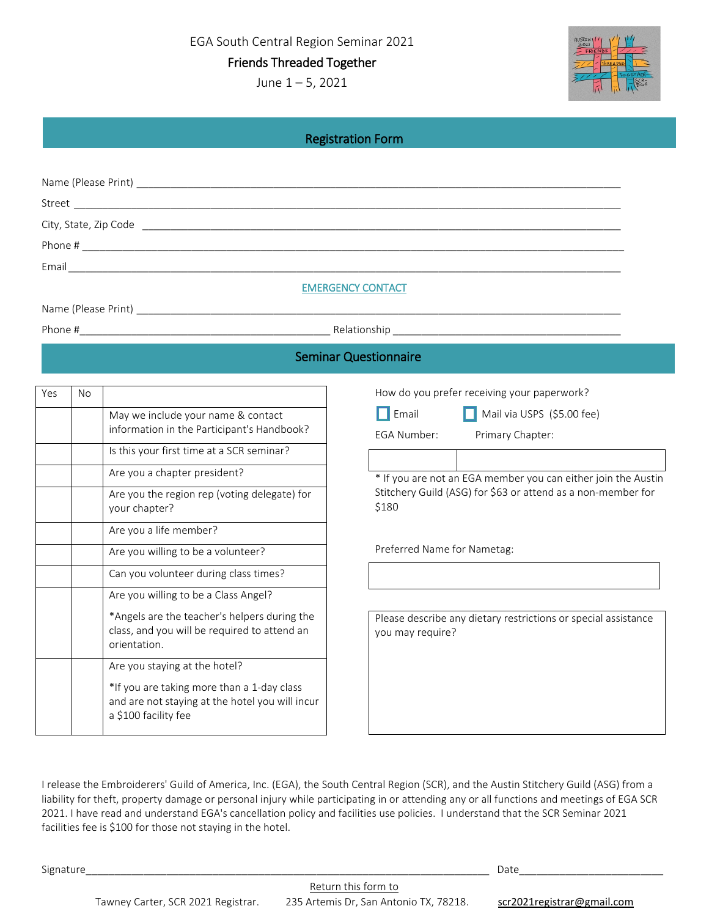EGA South Central Region Seminar 2021

Friends Threaded Together

June 1 – 5, 2021



|  | <b>Registration Form</b> |
|--|--------------------------|
|  |                          |

| <b>EMERGENCY CONTACT</b> |  |
|--------------------------|--|
|                          |  |

Phone #\_\_\_\_\_\_\_\_\_\_\_\_\_\_\_\_\_\_\_\_\_\_\_\_\_\_\_\_\_\_\_\_\_\_\_\_\_\_\_\_\_\_\_\_ Relationship \_\_\_\_\_\_\_\_\_\_\_\_\_\_\_\_\_\_\_\_\_\_\_\_\_\_\_\_\_\_\_\_\_\_\_\_\_\_\_\_

## Seminar Questionnaire l

| Yes | <b>No</b> |                                                                                                                       |  |  |
|-----|-----------|-----------------------------------------------------------------------------------------------------------------------|--|--|
|     |           | May we include your name & contact<br>information in the Participant's Handbook?                                      |  |  |
|     |           | Is this your first time at a SCR seminar?                                                                             |  |  |
|     |           | Are you a chapter president?                                                                                          |  |  |
|     |           | Are you the region rep (voting delegate) for<br>your chapter?                                                         |  |  |
|     |           | Are you a life member?                                                                                                |  |  |
|     |           | Are you willing to be a volunteer?                                                                                    |  |  |
|     |           | Can you volunteer during class times?                                                                                 |  |  |
|     |           | Are you willing to be a Class Angel?                                                                                  |  |  |
|     |           | *Angels are the teacher's helpers during the<br>class, and you will be required to attend an<br>orientation.          |  |  |
|     |           | Are you staying at the hotel?                                                                                         |  |  |
|     |           | *If you are taking more than a 1-day class<br>and are not staying at the hotel you will incur<br>a \$100 facility fee |  |  |

How do you prefer receiving your paperwork?

Email Mail via USPS (\$5.00 fee)

EGA Number: Primary Chapter:

\* If you are not an EGA member you can either join the Austin Stitchery Guild (ASG) for \$63 or attend as a non-member for \$180

Preferred Name for Nametag:

Please describe any dietary restrictions or special assistance you may require?

I release the Embroiderers' Guild of America, Inc. (EGA), the South Central Region (SCR), and the Austin Stitchery Guild (ASG) from a liability for theft, property damage or personal injury while participating in or attending any or all functions and meetings of EGA SCR 2021. I have read and understand EGA's cancellation policy and facilities use policies. I understand that the SCR Seminar 2021 facilities fee is \$100 for those not staying in the hotel.

Signature\_\_\_\_\_\_\_\_\_\_\_\_\_\_\_\_\_\_\_\_\_\_\_\_\_\_\_\_\_\_\_\_\_\_\_\_\_\_\_\_\_\_\_\_\_\_\_\_\_\_\_\_\_\_\_\_\_\_\_\_\_\_\_\_\_\_\_\_\_\_ Date\_\_\_\_\_\_\_\_\_\_\_\_\_\_\_\_\_\_\_\_\_\_\_\_\_

Tawney Carter, SCR 2021 Registrar. 235 Artemis Dr, San Antonio TX, 78218. scr2021registrar@gmail.com

Return this form to